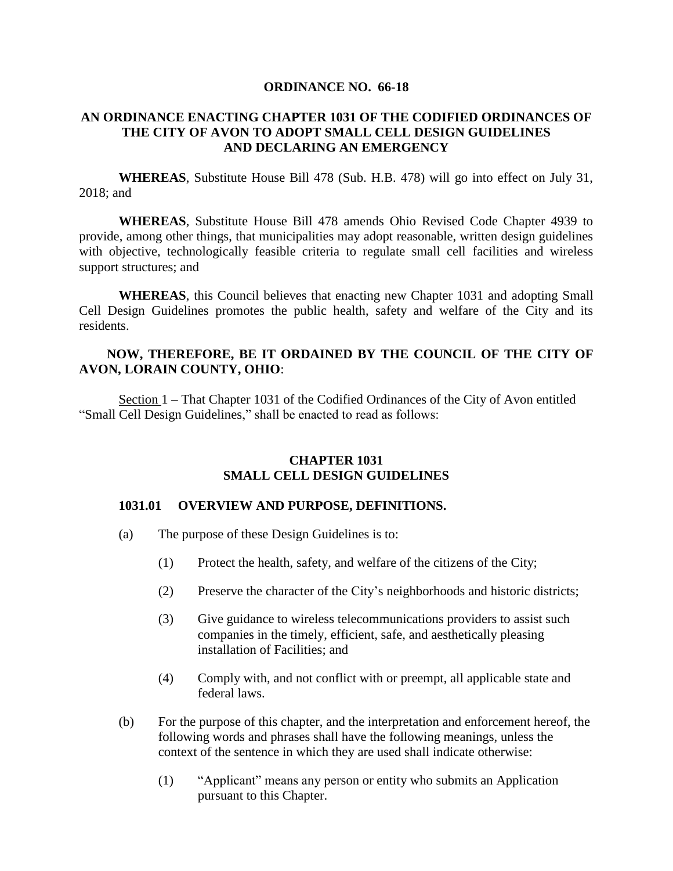#### **ORDINANCE NO. 66-18**

#### **AN ORDINANCE ENACTING CHAPTER 1031 OF THE CODIFIED ORDINANCES OF THE CITY OF AVON TO ADOPT SMALL CELL DESIGN GUIDELINES AND DECLARING AN EMERGENCY**

**WHEREAS**, Substitute House Bill 478 (Sub. H.B. 478) will go into effect on July 31, 2018; and

**WHEREAS**, Substitute House Bill 478 amends Ohio Revised Code Chapter 4939 to provide, among other things, that municipalities may adopt reasonable, written design guidelines with objective, technologically feasible criteria to regulate small cell facilities and wireless support structures; and

**WHEREAS**, this Council believes that enacting new Chapter 1031 and adopting Small Cell Design Guidelines promotes the public health, safety and welfare of the City and its residents.

#### **NOW, THEREFORE, BE IT ORDAINED BY THE COUNCIL OF THE CITY OF AVON, LORAIN COUNTY, OHIO**:

Section 1 – That Chapter 1031 of the Codified Ordinances of the City of Avon entitled "Small Cell Design Guidelines," shall be enacted to read as follows:

#### **CHAPTER 1031 SMALL CELL DESIGN GUIDELINES**

#### **1031.01 OVERVIEW AND PURPOSE, DEFINITIONS.**

- (a) The purpose of these Design Guidelines is to:
	- (1) Protect the health, safety, and welfare of the citizens of the City;
	- (2) Preserve the character of the City's neighborhoods and historic districts;
	- (3) Give guidance to wireless telecommunications providers to assist such companies in the timely, efficient, safe, and aesthetically pleasing installation of Facilities; and
	- (4) Comply with, and not conflict with or preempt, all applicable state and federal laws.
- (b) For the purpose of this chapter, and the interpretation and enforcement hereof, the following words and phrases shall have the following meanings, unless the context of the sentence in which they are used shall indicate otherwise:
	- (1) "Applicant" means any person or entity who submits an Application pursuant to this Chapter.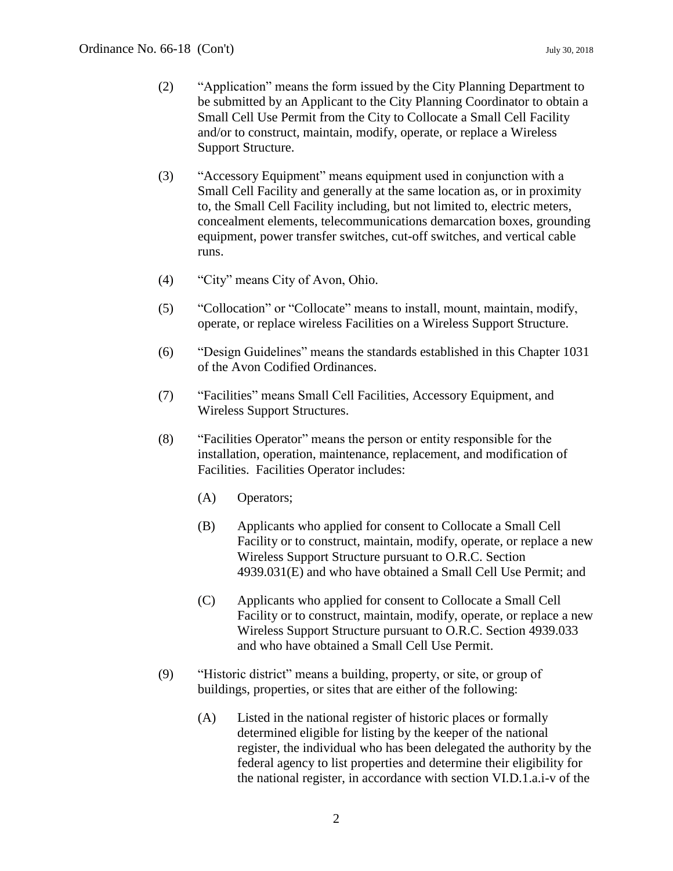- (2) "Application" means the form issued by the City Planning Department to be submitted by an Applicant to the City Planning Coordinator to obtain a Small Cell Use Permit from the City to Collocate a Small Cell Facility and/or to construct, maintain, modify, operate, or replace a Wireless Support Structure.
- (3) "Accessory Equipment" means equipment used in conjunction with a Small Cell Facility and generally at the same location as, or in proximity to, the Small Cell Facility including, but not limited to, electric meters, concealment elements, telecommunications demarcation boxes, grounding equipment, power transfer switches, cut-off switches, and vertical cable runs.
- (4) "City" means City of Avon, Ohio.
- (5) "Collocation" or "Collocate" means to install, mount, maintain, modify, operate, or replace wireless Facilities on a Wireless Support Structure.
- (6) "Design Guidelines" means the standards established in this Chapter 1031 of the Avon Codified Ordinances.
- (7) "Facilities" means Small Cell Facilities, Accessory Equipment, and Wireless Support Structures.
- (8) "Facilities Operator" means the person or entity responsible for the installation, operation, maintenance, replacement, and modification of Facilities. Facilities Operator includes:
	- (A) Operators;
	- (B) Applicants who applied for consent to Collocate a Small Cell Facility or to construct, maintain, modify, operate, or replace a new Wireless Support Structure pursuant to O.R.C. Section 4939.031(E) and who have obtained a Small Cell Use Permit; and
	- (C) Applicants who applied for consent to Collocate a Small Cell Facility or to construct, maintain, modify, operate, or replace a new Wireless Support Structure pursuant to O.R.C. Section 4939.033 and who have obtained a Small Cell Use Permit.
- (9) "Historic district" means a building, property, or site, or group of buildings, properties, or sites that are either of the following:
	- (A) Listed in the national register of historic places or formally determined eligible for listing by the keeper of the national register, the individual who has been delegated the authority by the federal agency to list properties and determine their eligibility for the national register, in accordance with section VI.D.1.a.i-v of the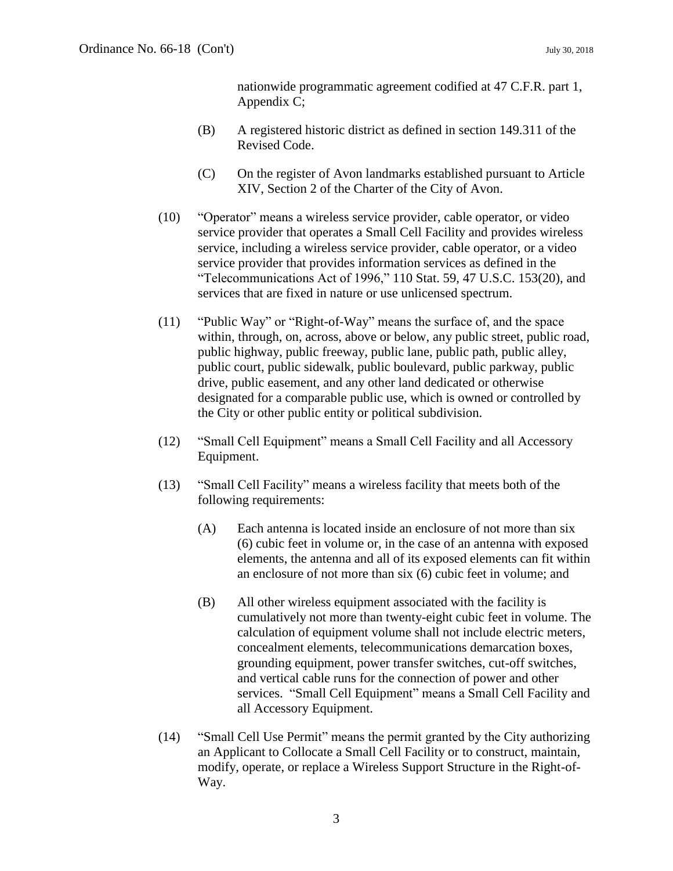nationwide programmatic agreement codified at 47 C.F.R. part 1, Appendix C;

- (B) A registered historic district as defined in section 149.311 of the Revised Code.
- (C) On the register of Avon landmarks established pursuant to Article XIV, Section 2 of the Charter of the City of Avon.
- (10) "Operator" means a wireless service provider, cable operator, or video service provider that operates a Small Cell Facility and provides wireless service, including a wireless service provider, cable operator, or a video service provider that provides information services as defined in the "Telecommunications Act of 1996," 110 Stat. 59, 47 U.S.C. 153(20), and services that are fixed in nature or use unlicensed spectrum.
- (11) "Public Way" or "Right-of-Way" means the surface of, and the space within, through, on, across, above or below, any public street, public road, public highway, public freeway, public lane, public path, public alley, public court, public sidewalk, public boulevard, public parkway, public drive, public easement, and any other land dedicated or otherwise designated for a comparable public use, which is owned or controlled by the City or other public entity or political subdivision.
- (12) "Small Cell Equipment" means a Small Cell Facility and all Accessory Equipment.
- (13) "Small Cell Facility" means a wireless facility that meets both of the following requirements:
	- (A) Each antenna is located inside an enclosure of not more than six (6) cubic feet in volume or, in the case of an antenna with exposed elements, the antenna and all of its exposed elements can fit within an enclosure of not more than six (6) cubic feet in volume; and
	- (B) All other wireless equipment associated with the facility is cumulatively not more than twenty-eight cubic feet in volume. The calculation of equipment volume shall not include electric meters, concealment elements, telecommunications demarcation boxes, grounding equipment, power transfer switches, cut-off switches, and vertical cable runs for the connection of power and other services. "Small Cell Equipment" means a Small Cell Facility and all Accessory Equipment.
- (14) "Small Cell Use Permit" means the permit granted by the City authorizing an Applicant to Collocate a Small Cell Facility or to construct, maintain, modify, operate, or replace a Wireless Support Structure in the Right-of-Way.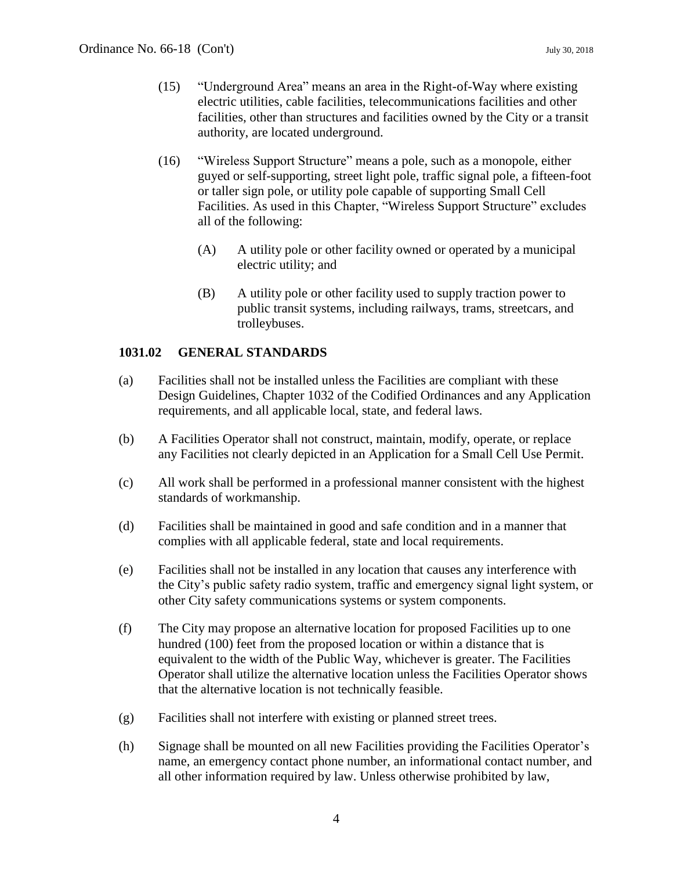- (15) "Underground Area" means an area in the Right-of-Way where existing electric utilities, cable facilities, telecommunications facilities and other facilities, other than structures and facilities owned by the City or a transit authority, are located underground.
- (16) "Wireless Support Structure" means a pole, such as a monopole, either guyed or self-supporting, street light pole, traffic signal pole, a fifteen-foot or taller sign pole, or utility pole capable of supporting Small Cell Facilities. As used in this Chapter, "Wireless Support Structure" excludes all of the following:
	- (A) A utility pole or other facility owned or operated by a municipal electric utility; and
	- (B) A utility pole or other facility used to supply traction power to public transit systems, including railways, trams, streetcars, and trolleybuses.

# **1031.02 GENERAL STANDARDS**

- (a) Facilities shall not be installed unless the Facilities are compliant with these Design Guidelines, Chapter 1032 of the Codified Ordinances and any Application requirements, and all applicable local, state, and federal laws.
- (b) A Facilities Operator shall not construct, maintain, modify, operate, or replace any Facilities not clearly depicted in an Application for a Small Cell Use Permit.
- (c) All work shall be performed in a professional manner consistent with the highest standards of workmanship.
- (d) Facilities shall be maintained in good and safe condition and in a manner that complies with all applicable federal, state and local requirements.
- (e) Facilities shall not be installed in any location that causes any interference with the City's public safety radio system, traffic and emergency signal light system, or other City safety communications systems or system components.
- (f) The City may propose an alternative location for proposed Facilities up to one hundred (100) feet from the proposed location or within a distance that is equivalent to the width of the Public Way, whichever is greater. The Facilities Operator shall utilize the alternative location unless the Facilities Operator shows that the alternative location is not technically feasible.
- (g) Facilities shall not interfere with existing or planned street trees.
- (h) Signage shall be mounted on all new Facilities providing the Facilities Operator's name, an emergency contact phone number, an informational contact number, and all other information required by law. Unless otherwise prohibited by law,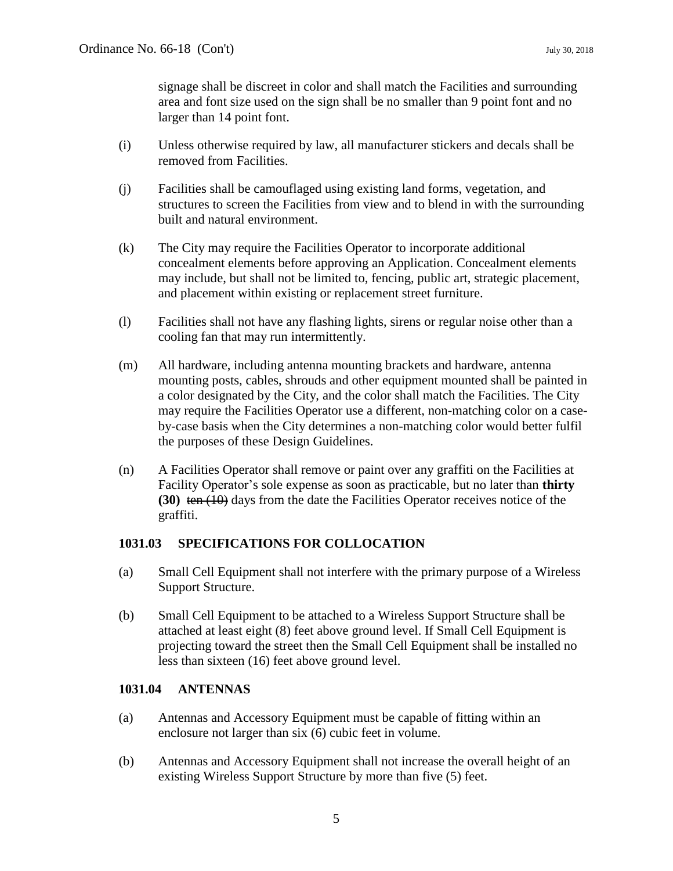signage shall be discreet in color and shall match the Facilities and surrounding area and font size used on the sign shall be no smaller than 9 point font and no larger than 14 point font.

- (i) Unless otherwise required by law, all manufacturer stickers and decals shall be removed from Facilities.
- (j) Facilities shall be camouflaged using existing land forms, vegetation, and structures to screen the Facilities from view and to blend in with the surrounding built and natural environment.
- (k) The City may require the Facilities Operator to incorporate additional concealment elements before approving an Application. Concealment elements may include, but shall not be limited to, fencing, public art, strategic placement, and placement within existing or replacement street furniture.
- (l) Facilities shall not have any flashing lights, sirens or regular noise other than a cooling fan that may run intermittently.
- (m) All hardware, including antenna mounting brackets and hardware, antenna mounting posts, cables, shrouds and other equipment mounted shall be painted in a color designated by the City, and the color shall match the Facilities. The City may require the Facilities Operator use a different, non-matching color on a caseby-case basis when the City determines a non-matching color would better fulfil the purposes of these Design Guidelines.
- (n) A Facilities Operator shall remove or paint over any graffiti on the Facilities at Facility Operator's sole expense as soon as practicable, but no later than **thirty (30)** ten (10) days from the date the Facilities Operator receives notice of the graffiti.

# **1031.03 SPECIFICATIONS FOR COLLOCATION**

- (a) Small Cell Equipment shall not interfere with the primary purpose of a Wireless Support Structure.
- (b) Small Cell Equipment to be attached to a Wireless Support Structure shall be attached at least eight (8) feet above ground level. If Small Cell Equipment is projecting toward the street then the Small Cell Equipment shall be installed no less than sixteen (16) feet above ground level.

# **1031.04 ANTENNAS**

- (a) Antennas and Accessory Equipment must be capable of fitting within an enclosure not larger than six (6) cubic feet in volume.
- (b) Antennas and Accessory Equipment shall not increase the overall height of an existing Wireless Support Structure by more than five (5) feet.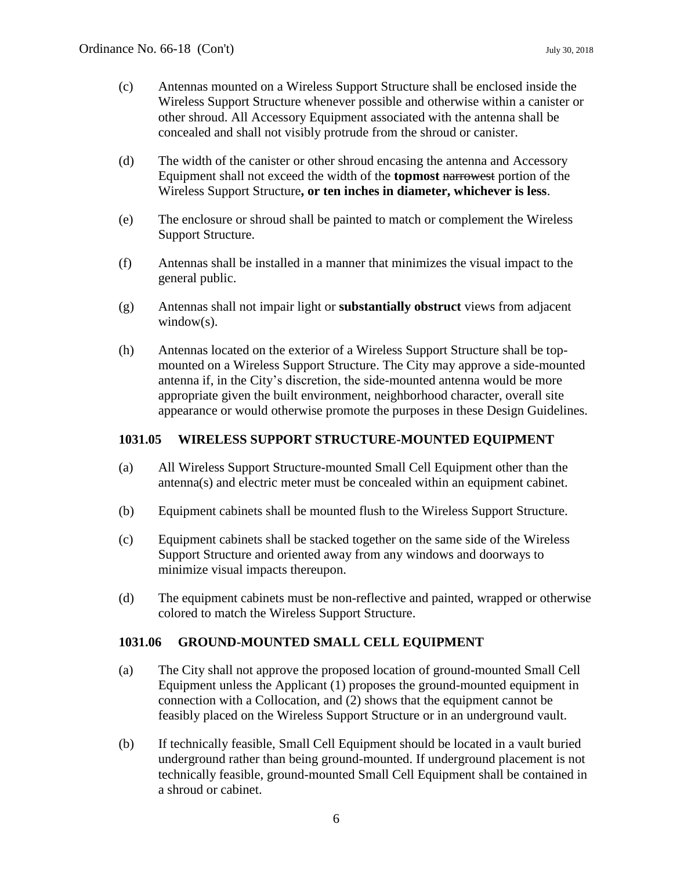- (c) Antennas mounted on a Wireless Support Structure shall be enclosed inside the Wireless Support Structure whenever possible and otherwise within a canister or other shroud. All Accessory Equipment associated with the antenna shall be concealed and shall not visibly protrude from the shroud or canister.
- (d) The width of the canister or other shroud encasing the antenna and Accessory Equipment shall not exceed the width of the **topmost** narrowest portion of the Wireless Support Structure**, or ten inches in diameter, whichever is less**.
- (e) The enclosure or shroud shall be painted to match or complement the Wireless Support Structure.
- (f) Antennas shall be installed in a manner that minimizes the visual impact to the general public.
- (g) Antennas shall not impair light or **substantially obstruct** views from adjacent window(s).
- (h) Antennas located on the exterior of a Wireless Support Structure shall be topmounted on a Wireless Support Structure. The City may approve a side-mounted antenna if, in the City's discretion, the side-mounted antenna would be more appropriate given the built environment, neighborhood character, overall site appearance or would otherwise promote the purposes in these Design Guidelines.

#### **1031.05 WIRELESS SUPPORT STRUCTURE-MOUNTED EQUIPMENT**

- (a) All Wireless Support Structure-mounted Small Cell Equipment other than the antenna(s) and electric meter must be concealed within an equipment cabinet.
- (b) Equipment cabinets shall be mounted flush to the Wireless Support Structure.
- (c) Equipment cabinets shall be stacked together on the same side of the Wireless Support Structure and oriented away from any windows and doorways to minimize visual impacts thereupon.
- (d) The equipment cabinets must be non-reflective and painted, wrapped or otherwise colored to match the Wireless Support Structure.

# **1031.06 GROUND-MOUNTED SMALL CELL EQUIPMENT**

- (a) The City shall not approve the proposed location of ground-mounted Small Cell Equipment unless the Applicant (1) proposes the ground-mounted equipment in connection with a Collocation, and (2) shows that the equipment cannot be feasibly placed on the Wireless Support Structure or in an underground vault.
- (b) If technically feasible, Small Cell Equipment should be located in a vault buried underground rather than being ground-mounted. If underground placement is not technically feasible, ground-mounted Small Cell Equipment shall be contained in a shroud or cabinet.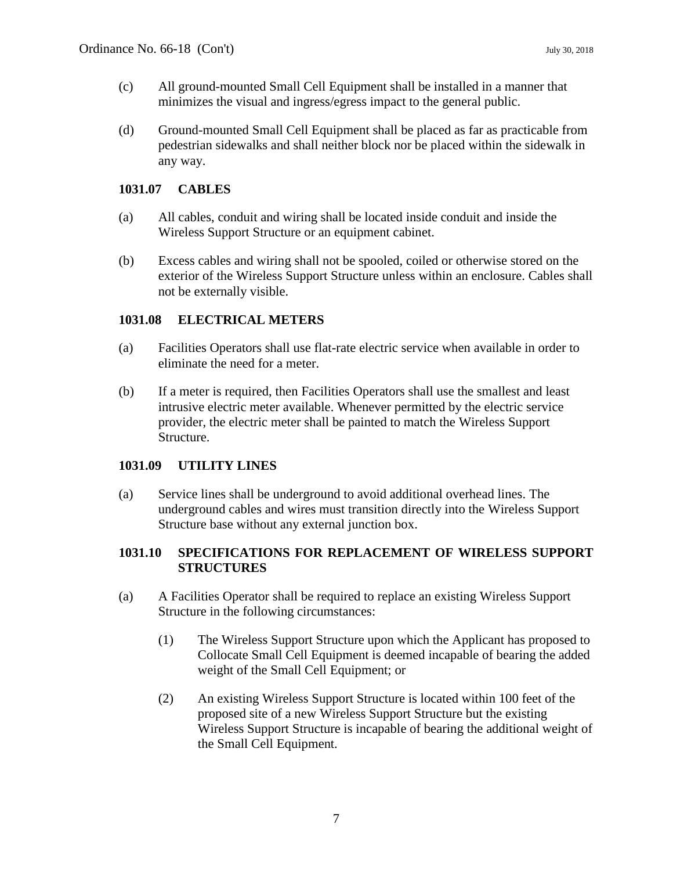- (c) All ground-mounted Small Cell Equipment shall be installed in a manner that minimizes the visual and ingress/egress impact to the general public.
- (d) Ground-mounted Small Cell Equipment shall be placed as far as practicable from pedestrian sidewalks and shall neither block nor be placed within the sidewalk in any way.

# **1031.07 CABLES**

- (a) All cables, conduit and wiring shall be located inside conduit and inside the Wireless Support Structure or an equipment cabinet.
- (b) Excess cables and wiring shall not be spooled, coiled or otherwise stored on the exterior of the Wireless Support Structure unless within an enclosure. Cables shall not be externally visible.

#### **1031.08 ELECTRICAL METERS**

- (a) Facilities Operators shall use flat-rate electric service when available in order to eliminate the need for a meter.
- (b) If a meter is required, then Facilities Operators shall use the smallest and least intrusive electric meter available. Whenever permitted by the electric service provider, the electric meter shall be painted to match the Wireless Support Structure.

# **1031.09 UTILITY LINES**

(a) Service lines shall be underground to avoid additional overhead lines. The underground cables and wires must transition directly into the Wireless Support Structure base without any external junction box.

#### **1031.10 SPECIFICATIONS FOR REPLACEMENT OF WIRELESS SUPPORT STRUCTURES**

- (a) A Facilities Operator shall be required to replace an existing Wireless Support Structure in the following circumstances:
	- (1) The Wireless Support Structure upon which the Applicant has proposed to Collocate Small Cell Equipment is deemed incapable of bearing the added weight of the Small Cell Equipment; or
	- (2) An existing Wireless Support Structure is located within 100 feet of the proposed site of a new Wireless Support Structure but the existing Wireless Support Structure is incapable of bearing the additional weight of the Small Cell Equipment.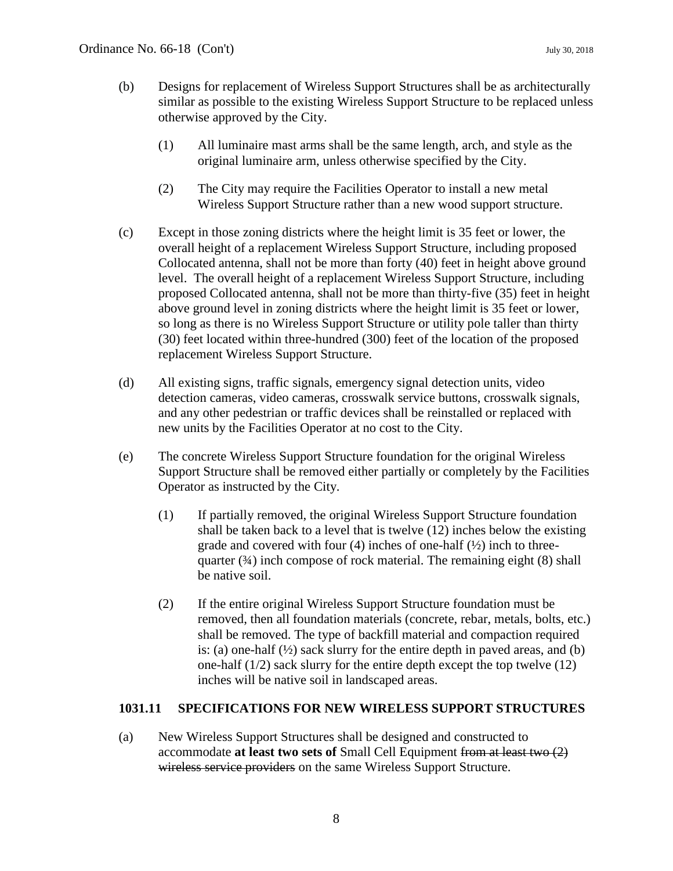- (b) Designs for replacement of Wireless Support Structures shall be as architecturally similar as possible to the existing Wireless Support Structure to be replaced unless otherwise approved by the City.
	- (1) All luminaire mast arms shall be the same length, arch, and style as the original luminaire arm, unless otherwise specified by the City.
	- (2) The City may require the Facilities Operator to install a new metal Wireless Support Structure rather than a new wood support structure.
- (c) Except in those zoning districts where the height limit is 35 feet or lower, the overall height of a replacement Wireless Support Structure, including proposed Collocated antenna, shall not be more than forty (40) feet in height above ground level. The overall height of a replacement Wireless Support Structure, including proposed Collocated antenna, shall not be more than thirty-five (35) feet in height above ground level in zoning districts where the height limit is 35 feet or lower, so long as there is no Wireless Support Structure or utility pole taller than thirty (30) feet located within three-hundred (300) feet of the location of the proposed replacement Wireless Support Structure.
- (d) All existing signs, traffic signals, emergency signal detection units, video detection cameras, video cameras, crosswalk service buttons, crosswalk signals, and any other pedestrian or traffic devices shall be reinstalled or replaced with new units by the Facilities Operator at no cost to the City.
- (e) The concrete Wireless Support Structure foundation for the original Wireless Support Structure shall be removed either partially or completely by the Facilities Operator as instructed by the City.
	- (1) If partially removed, the original Wireless Support Structure foundation shall be taken back to a level that is twelve (12) inches below the existing grade and covered with four  $(4)$  inches of one-half  $(½)$  inch to threequarter  $(3/4)$  inch compose of rock material. The remaining eight  $(8)$  shall be native soil.
	- (2) If the entire original Wireless Support Structure foundation must be removed, then all foundation materials (concrete, rebar, metals, bolts, etc.) shall be removed. The type of backfill material and compaction required is: (a) one-half  $(\frac{1}{2})$  sack slurry for the entire depth in paved areas, and (b) one-half (1/2) sack slurry for the entire depth except the top twelve (12) inches will be native soil in landscaped areas.

#### **1031.11 SPECIFICATIONS FOR NEW WIRELESS SUPPORT STRUCTURES**

(a) New Wireless Support Structures shall be designed and constructed to accommodate **at least two sets of** Small Cell Equipment from at least two (2) wireless service providers on the same Wireless Support Structure.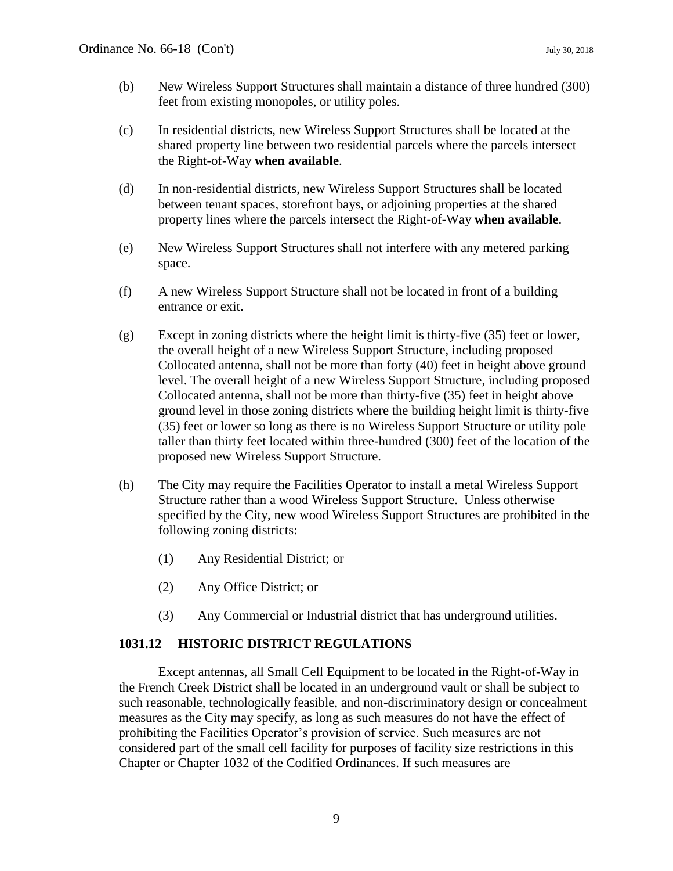- (b) New Wireless Support Structures shall maintain a distance of three hundred (300) feet from existing monopoles, or utility poles.
- (c) In residential districts, new Wireless Support Structures shall be located at the shared property line between two residential parcels where the parcels intersect the Right-of-Way **when available**.
- (d) In non-residential districts, new Wireless Support Structures shall be located between tenant spaces, storefront bays, or adjoining properties at the shared property lines where the parcels intersect the Right-of-Way **when available**.
- (e) New Wireless Support Structures shall not interfere with any metered parking space.
- (f) A new Wireless Support Structure shall not be located in front of a building entrance or exit.
- (g) Except in zoning districts where the height limit is thirty-five (35) feet or lower, the overall height of a new Wireless Support Structure, including proposed Collocated antenna, shall not be more than forty (40) feet in height above ground level. The overall height of a new Wireless Support Structure, including proposed Collocated antenna, shall not be more than thirty-five (35) feet in height above ground level in those zoning districts where the building height limit is thirty-five (35) feet or lower so long as there is no Wireless Support Structure or utility pole taller than thirty feet located within three-hundred (300) feet of the location of the proposed new Wireless Support Structure.
- (h) The City may require the Facilities Operator to install a metal Wireless Support Structure rather than a wood Wireless Support Structure. Unless otherwise specified by the City, new wood Wireless Support Structures are prohibited in the following zoning districts:
	- (1) Any Residential District; or
	- (2) Any Office District; or
	- (3) Any Commercial or Industrial district that has underground utilities.

# **1031.12 HISTORIC DISTRICT REGULATIONS**

Except antennas, all Small Cell Equipment to be located in the Right-of-Way in the French Creek District shall be located in an underground vault or shall be subject to such reasonable, technologically feasible, and non-discriminatory design or concealment measures as the City may specify, as long as such measures do not have the effect of prohibiting the Facilities Operator's provision of service. Such measures are not considered part of the small cell facility for purposes of facility size restrictions in this Chapter or Chapter 1032 of the Codified Ordinances. If such measures are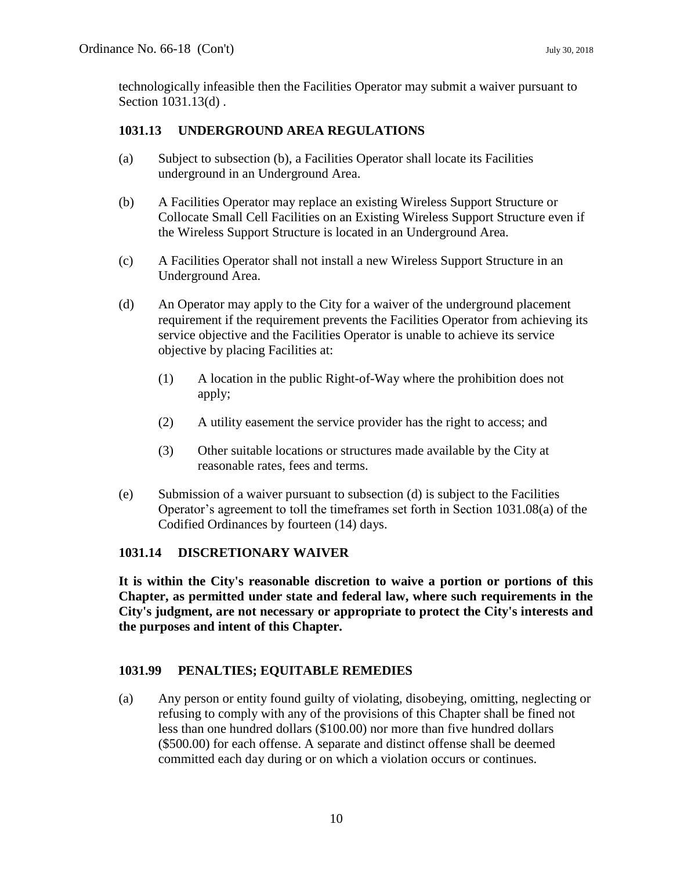technologically infeasible then the Facilities Operator may submit a waiver pursuant to Section 1031.13(d) .

# **1031.13 UNDERGROUND AREA REGULATIONS**

- (a) Subject to subsection (b), a Facilities Operator shall locate its Facilities underground in an Underground Area.
- (b) A Facilities Operator may replace an existing Wireless Support Structure or Collocate Small Cell Facilities on an Existing Wireless Support Structure even if the Wireless Support Structure is located in an Underground Area.
- (c) A Facilities Operator shall not install a new Wireless Support Structure in an Underground Area.
- (d) An Operator may apply to the City for a waiver of the underground placement requirement if the requirement prevents the Facilities Operator from achieving its service objective and the Facilities Operator is unable to achieve its service objective by placing Facilities at:
	- (1) A location in the public Right-of-Way where the prohibition does not apply;
	- (2) A utility easement the service provider has the right to access; and
	- (3) Other suitable locations or structures made available by the City at reasonable rates, fees and terms.
- (e) Submission of a waiver pursuant to subsection (d) is subject to the Facilities Operator's agreement to toll the timeframes set forth in Section 1031.08(a) of the Codified Ordinances by fourteen (14) days.

# **1031.14 DISCRETIONARY WAIVER**

**It is within the City's reasonable discretion to waive a portion or portions of this Chapter, as permitted under state and federal law, where such requirements in the City's judgment, are not necessary or appropriate to protect the City's interests and the purposes and intent of this Chapter.**

# **1031.99 PENALTIES; EQUITABLE REMEDIES**

(a) Any person or entity found guilty of violating, disobeying, omitting, neglecting or refusing to comply with any of the provisions of this Chapter shall be fined not less than one hundred dollars (\$100.00) nor more than five hundred dollars (\$500.00) for each offense. A separate and distinct offense shall be deemed committed each day during or on which a violation occurs or continues.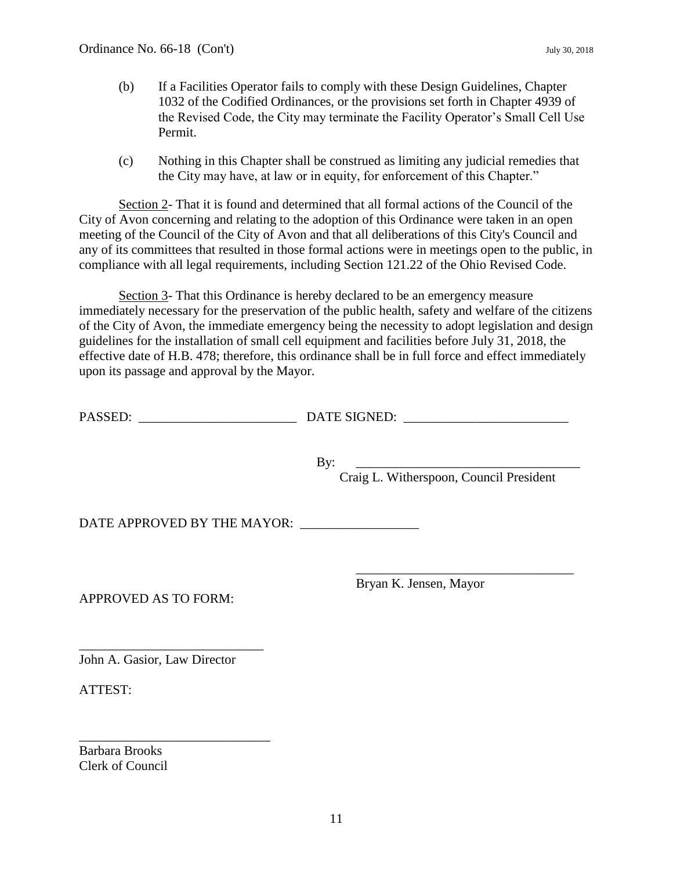- (b) If a Facilities Operator fails to comply with these Design Guidelines, Chapter 1032 of the Codified Ordinances, or the provisions set forth in Chapter 4939 of the Revised Code, the City may terminate the Facility Operator's Small Cell Use Permit.
- (c) Nothing in this Chapter shall be construed as limiting any judicial remedies that the City may have, at law or in equity, for enforcement of this Chapter."

Section 2- That it is found and determined that all formal actions of the Council of the City of Avon concerning and relating to the adoption of this Ordinance were taken in an open meeting of the Council of the City of Avon and that all deliberations of this City's Council and any of its committees that resulted in those formal actions were in meetings open to the public, in compliance with all legal requirements, including Section 121.22 of the Ohio Revised Code.

Section 3- That this Ordinance is hereby declared to be an emergency measure immediately necessary for the preservation of the public health, safety and welfare of the citizens of the City of Avon, the immediate emergency being the necessity to adopt legislation and design guidelines for the installation of small cell equipment and facilities before July 31, 2018, the effective date of H.B. 478; therefore, this ordinance shall be in full force and effect immediately upon its passage and approval by the Mayor.

| PASSED: | DATE SIGNED: |
|---------|--------------|
|         |              |
|         |              |

By: \_\_\_\_\_\_\_\_\_\_\_\_\_\_\_\_\_\_\_\_\_\_\_\_\_\_\_\_\_\_\_\_\_\_

Craig L. Witherspoon, Council President

\_\_\_\_\_\_\_\_\_\_\_\_\_\_\_\_\_\_\_\_\_\_\_\_\_\_\_\_\_\_\_\_\_

DATE APPROVED BY THE MAYOR: \_\_\_\_\_\_\_\_\_\_\_\_\_\_\_\_\_\_

APPROVED AS TO FORM:

Bryan K. Jensen, Mayor

John A. Gasior, Law Director

\_\_\_\_\_\_\_\_\_\_\_\_\_\_\_\_\_\_\_\_\_\_\_\_\_\_\_\_

\_\_\_\_\_\_\_\_\_\_\_\_\_\_\_\_\_\_\_\_\_\_\_\_\_\_\_\_\_

ATTEST:

Barbara Brooks Clerk of Council